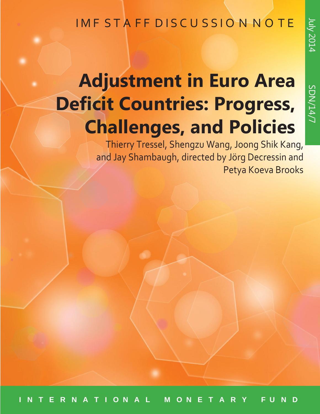# IMF STAFF DISCUSSION NOTE

# **Adjustment in Euro Area Deficit Countries: Progress, Challenges, and Policies**

 Thierry Tressel, Shengzu Wang, Joong Shik Kang, and Jay Shambaugh, directed by Jörg Decressin and Petya Koeva Brooks

July

2014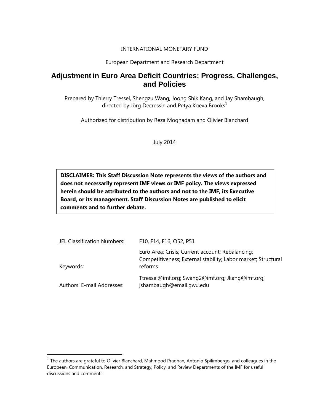#### INTERNATIONAL MONETARY FUND

#### European Department and Research Department

### **Adjustment in Euro Area Deficit Countries: Progress, Challenges, and Policies**

Prepared by Thierry Tressel, Shengzu Wang, Joong Shik Kang, and Jay Shambaugh, directed by Jörg Decressin and Petya Koeva Brooks $^1$ 

Authorized for distribution by Reza Moghadam and Olivier Blanchard

July 2014

**DISCLAIMER: This Staff Discussion Note represents the views of the authors and does not necessarily represent IMF views or IMF policy. The views expressed herein should be attributed to the authors and not to the IMF, its Executive Board, or its management. Staff Discussion Notes are published to elicit comments and to further debate.**

| JEL Classification Numbers: | F10, F14, F16, O52, P51                                                                                                      |
|-----------------------------|------------------------------------------------------------------------------------------------------------------------------|
| Keywords:                   | Euro Area; Crisis; Current account; Rebalancing;<br>Competitiveness; External stability; Labor market; Structural<br>reforms |
| Authors' E-mail Addresses:  | Ttressel@imf.org; Swang2@imf.org; Jkang@imf.org;<br>jshambaugh@email.gwu.edu                                                 |

 $^{\text{1}}$  The authors are grateful to Olivier Blanchard, Mahmood Pradhan, Antonio Spilimbergo, and colleagues in the European, Communication, Research, and Strategy, Policy, and Review Departments of the IMF for useful discussions and comments.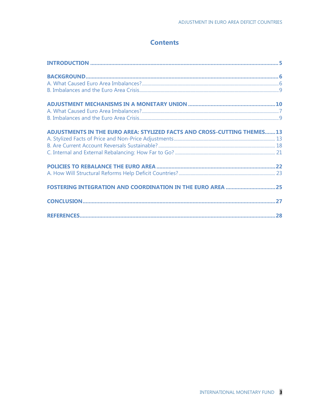# **Contents**

| ADJUSTMENTS IN THE EURO AREA: STYLIZED FACTS AND CROSS-CUTTING THEMES13 |  |
|-------------------------------------------------------------------------|--|
|                                                                         |  |
|                                                                         |  |
|                                                                         |  |
|                                                                         |  |
|                                                                         |  |
|                                                                         |  |
|                                                                         |  |
|                                                                         |  |
|                                                                         |  |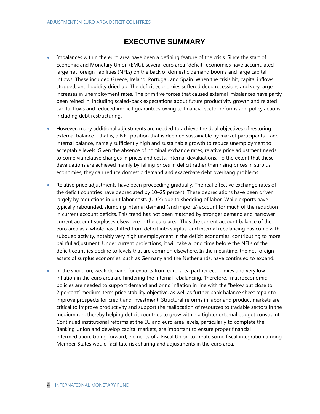## **EXECUTIVE SUMMARY**

- Imbalances within the euro area have been a defining feature of the crisis. Since the start of Economic and Monetary Union (EMU), several euro area "deficit" economies have accumulated large net foreign liabilities (NFLs) on the back of domestic demand booms and large capital inflows. These included Greece, Ireland, Portugal, and Spain. When the crisis hit, capital inflows stopped, and liquidity dried up. The deficit economies suffered deep recessions and very large increases in unemployment rates. The primitive forces that caused external imbalances have partly been reined in, including scaled-back expectations about future productivity growth and related capital flows and reduced implicit guarantees owing to financial sector reforms and policy actions, including debt restructuring.
- However, many additional adjustments are needed to achieve the dual objectives of restoring external balance––that is, a NFL position that is deemed sustainable by market participants––and internal balance, namely sufficiently high and sustainable growth to reduce unemployment to acceptable levels. Given the absence of nominal exchange rates, relative price adjustment needs to come via relative changes in prices and costs: internal devaluations. To the extent that these devaluations are achieved mainly by falling prices in deficit rather than rising prices in surplus economies, they can reduce domestic demand and exacerbate debt overhang problems.
- Relative price adjustments have been proceeding gradually. The real effective exchange rates of the deficit countries have depreciated by 10–25 percent. These depreciations have been driven largely by reductions in unit labor costs (ULCs) due to shedding of labor. While exports have typically rebounded, slumping internal demand (and imports) account for much of the reduction in current account deficits. This trend has not been matched by stronger demand and narrower current account surpluses elsewhere in the euro area. Thus the current account balance of the euro area as a whole has shifted from deficit into surplus, and internal rebalancing has come with subdued activity, notably very high unemployment in the deficit economies, contributing to more painful adjustment. Under current projections, it will take a long time before the NFLs of the deficit countries decline to levels that are common elsewhere. In the meantime, the net foreign assets of surplus economies, such as Germany and the Netherlands, have continued to expand.
- In the short run, weak demand for exports from euro-area partner economies and very low inflation in the euro area are hindering the internal rebalancing. Therefore, macroeconomic policies are needed to support demand and bring inflation in line with the "below but close to 2 percent" medium-term price stability objective, as well as further bank balance sheet repair to improve prospects for credit and investment. Structural reforms in labor and product markets are critical to improve productivity and support the reallocation of resources to tradable sectors in the medium run, thereby helping deficit countries to grow within a tighter external budget constraint. Continued institutional reforms at the EU and euro area levels, particularly to complete the Banking Union and develop capital markets, are important to ensure proper financial intermediation. Going forward, elements of a Fiscal Union to create some fiscal integration among Member States would facilitate risk sharing and adjustments in the euro area.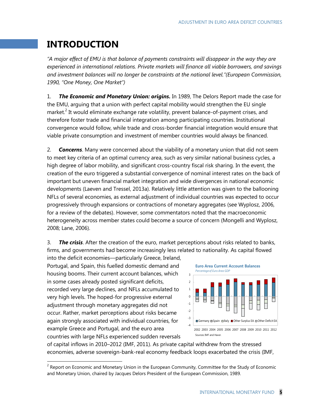# **INTRODUCTION**

*"A major effect of EMU is that balance of payments constraints will disappear in the way they are experienced in international relations. Private markets will finance all viable borrowers, and savings and investment balances will no longer be constraints at the national level."(European Commission, 1990, "One Money, One Market")*

1. *The Economic and Monetary Union: origins.* In 1989, The Delors Report made the case for the EMU, arguing that a union with perfect capital mobility would strengthen the EU single market.<sup>2</sup> It would eliminate exchange rate volatility, prevent balance-of-payment crises, and therefore foster trade and financial integration among participating countries. Institutional convergence would follow, while trade and cross-border financial integration would ensure that viable private consumption and investment of member countries would always be financed.

2. *Concerns*. Many were concerned about the viability of a monetary union that did not seem to meet key criteria of an optimal currency area, such as very similar national business cycles, a high degree of labor mobility, and significant cross-country fiscal risk sharing. In the event, the creation of the euro triggered a substantial convergence of nominal interest rates on the back of important but uneven financial market integration and wide divergences in national economic developments (Laeven and Tressel, 2013a). Relatively little attention was given to the ballooning NFLs of several economies, as external adjustment of individual countries was expected to occur progressively through expansions or contractions of monetary aggregates (see Wyplosz, 2006, for a review of the debates). However, some commentators noted that the macroeconomic heterogeneity across member states could become a source of concern (Mongelli and Wyplosz, 2008; Lane, 2006).

3. *The crisis*. After the creation of the euro, market perceptions about risks related to banks, firms, and governments had become increasingly less related to nationality. As capital flowed

into the deficit economies––particularly Greece, Ireland, Portugal, and Spain, this fuelled domestic demand and housing booms. Their current account balances, which in some cases already posted significant deficits, recorded very large declines, and NFLs accumulated to very high levels. The hoped-for progressive external adjustment through monetary aggregates did not occur. Rather, market perceptions about risks became again strongly associated with individual countries, for example Greece and Portugal, and the euro area countries with large NFLs experienced sudden reversals



of capital inflows in 2010–2012 (IMF, 2011). As private capital withdrew from the stressed economies, adverse sovereign-bank-real economy feedback loops exacerbated the crisis (IMF,

<sup>&</sup>lt;u>2</u><br><sup>2</sup> Report on Economic and Monetary Union in the European Community, Committee for the Study of Economic and Monetary Union, chaired by Jacques Delors President of the European Commission, 1989.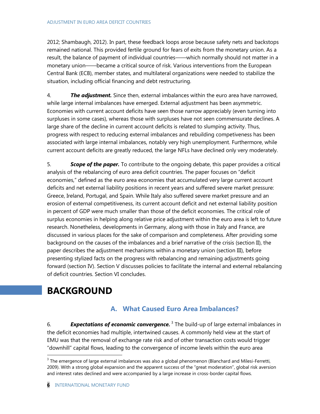2012; Shambaugh, 2012). In part, these feedback loops arose because safety nets and backstops remained national. This provided fertile ground for fears of exits from the monetary union. As a result, the balance of payment of individual countries——which normally should not matter in a monetary union——became a critical source of risk. Various interventions from the European Central Bank (ECB), member states, and multilateral organizations were needed to stabilize the situation, including official financing and debt restructuring.

4. *The adjustment.* Since then, external imbalances within the euro area have narrowed, while large internal imbalances have emerged. External adjustment has been asymmetric. Economies with current account deficits have seen those narrow appreciably (even turning into surpluses in some cases), whereas those with surpluses have not seen commensurate declines. A large share of the decline in current account deficits is related to slumping activity. Thus, progress with respect to reducing external imbalances and rebuilding competiveness has been associated with large internal imbalances, notably very high unemployment. Furthermore, while current account deficits are greatly reduced, the large NFLs have declined only very moderately.

5. *Scope of the paper.* To contribute to the ongoing debate, this paper provides a critical analysis of the rebalancing of euro area deficit countries. The paper focuses on "deficit economies," defined as the euro area economies that accumulated very large current account deficits and net external liability positions in recent years and suffered severe market pressure: Greece, Ireland, Portugal, and Spain. While Italy also suffered severe market pressure and an erosion of external competitiveness, its current account deficit and net external liability position in percent of GDP were much smaller than those of the deficit economies. The critical role of surplus economies in helping along relative price adjustment within the euro area is left to future research. Nonetheless, developments in Germany, along with those in Italy and France, are discussed in various places for the sake of comparison and completeness. After providing some background on the causes of the imbalances and a brief narrative of the crisis (section II), the paper describes the adjustment mechanisms within a monetary union (section III), before presenting stylized facts on the progress with rebalancing and remaining adjustments going forward (section IV). Section V discusses policies to facilitate the internal and external rebalancing of deficit countries. Section VI concludes.

# **BACKGROUND**

 $\overline{a}$ 

### **A. What Caused Euro Area Imbalances?**

6. *Expectations of economic convergence.* <sup>3</sup> The build-up of large external imbalances in the deficit economies had multiple, intertwined causes. A commonly held view at the start of EMU was that the removal of exchange rate risk and of other transaction costs would trigger "downhill" capital flows, leading to the convergence of income levels within the euro area

 $3$  The emergence of large external imbalances was also a global phenomenon (Blanchard and Milesi-Ferretti, 2009). With a strong global expansion and the apparent success of the "great moderation", global risk aversion and interest rates declined and were accompanied by a large increase in cross-border capital flows.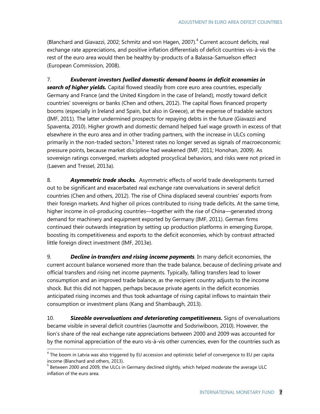(Blanchard and Giavazzi, 2002; Schmitz and von Hagen, 2007).<sup>4</sup> Current account deficits, real exchange rate appreciations, and positive inflation differentials of deficit countries vis-à-vis the rest of the euro area would then be healthy by-products of a Balassa-Samuelson effect (European Commission, 2008).

7. *Exuberant investors fuelled domestic demand booms in deficit economies in search of higher yields.* Capital flowed steadily from core euro area countries, especially Germany and France (and the United Kingdom in the case of Ireland), mostly toward deficit countries' sovereigns or banks (Chen and others, 2012). The capital flows financed property booms (especially in Ireland and Spain, but also in Greece), at the expense of tradable sectors (IMF, 2011). The latter undermined prospects for repaying debts in the future (Giavazzi and Spaventa, 2010). Higher growth and domestic demand helped fuel wage growth in excess of that elsewhere in the euro area and in other trading partners, with the increase in ULCs coming primarily in the non-traded sectors.<sup>5</sup> Interest rates no longer served as signals of macroeconomic pressure points, because market discipline had weakened (IMF, 2011; Honohan, 2009). As sovereign ratings converged, markets adopted procyclical behaviors, and risks were not priced in (Laeven and Tressel, 2013a).

8. **Asymmetric trade shocks.** Asymmetric effects of world trade developments turned out to be significant and exacerbated real exchange rate overvaluations in several deficit countries (Chen and others, 2012). The rise of China displaced several countries' exports from their foreign markets. And higher oil prices contributed to rising trade deficits. At the same time, higher income in oil-producing countries—together with the rise of China—generated strong demand for machinery and equipment exported by Germany (IMF, 2011). German firms continued their outwards integration by setting up production platforms in emerging Europe, boosting its competitiveness and exports to the deficit economies, which by contrast attracted little foreign direct investment (IMF, 2013e).

9. *Decline in transfers and rising income payments.* In many deficit economies, the current account balance worsened more than the trade balance, because of declining private and official transfers and rising net income payments. Typically, falling transfers lead to lower consumption and an improved trade balance, as the recipient country adjusts to the income shock. But this did not happen, perhaps because private agents in the deficit economies anticipated rising incomes and thus took advantage of rising capital inflows to maintain their consumption or investment plans (Kang and Shambaugh, 2013).

10. *Sizeable overvaluations and deteriorating competitiveness.* Signs of overvaluations became visible in several deficit countries (Jaumotte and Sodsriwiboon, 2010). However, the lion's share of the real exchange rate appreciations between 2000 and 2009 was accounted for by the nominal appreciation of the euro vis-à-vis other currencies, even for the countries such as

 $^4$  The boom in Latvia was also triggered by EU accession and optimistic belief of convergence to EU per capita income (Blanchard and others, 2013).

<sup>&</sup>lt;sup>5</sup> Between 2000 and 2009, the ULCs in Germany declined slightly, which helped moderate the average ULC inflation of the euro area.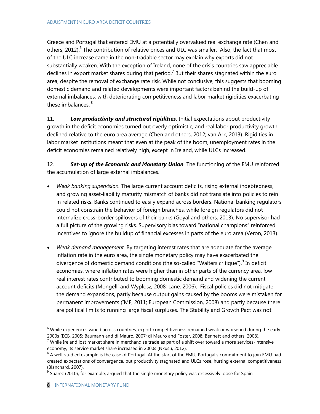Greece and Portugal that entered EMU at a potentially overvalued real exchange rate (Chen and others, 2012).<sup>6</sup> The contribution of relative prices and ULC was smaller. Also, the fact that most of the ULC increase came in the non-tradable sector may explain why exports did not substantially weaken. With the exception of Ireland, none of the crisis countries saw appreciable declines in export market shares during that period.<sup>7</sup> But their shares stagnated within the euro area, despite the removal of exchange rate risk. While not conclusive, this suggests that booming domestic demand and related developments were important factors behind the build-up of external imbalances, with deteriorating competitiveness and labor market rigidities exacerbating these imbalances.<sup>8</sup>

11. *Low productivity and structural rigidities.* Initial expectations about productivity growth in the deficit economies turned out overly optimistic, and real labor productivity growth declined relative to the euro area average (Chen and others, 2012; van Ark, 2013). Rigidities in labor market institutions meant that even at the peak of the boom, unemployment rates in the deficit economies remained relatively high, except in Ireland, while ULCs increased.

12. *Set-up of the Economic and Monetary Union.* The functioning of the EMU reinforced the accumulation of large external imbalances.

- *Weak banking supervision.* The large current account deficits, rising external indebtedness, and growing asset-liability maturity mismatch of banks did not translate into policies to rein in related risks. Banks continued to easily expand across borders. National banking regulators could not constrain the behavior of foreign branches, while foreign regulators did not internalize cross-border spillovers of their banks (Goyal and others, 2013). No supervisor had a full picture of the growing risks. Supervisory bias toward "national champions" reinforced incentives to ignore the buildup of financial excesses in parts of the euro area (Veron, 2013).
- *Weak demand management.* By targeting interest rates that are adequate for the average inflation rate in the euro area, the single monetary policy may have exacerbated the divergence of domestic demand conditions (the so-called "Walters critique").<sup>9</sup> In deficit economies, where inflation rates were higher than in other parts of the currency area, low real interest rates contributed to booming domestic demand and widening the current account deficits (Mongelli and Wyplosz, 2008; Lane, 2006). Fiscal policies did not mitigate the demand expansions, partly because output gains caused by the booms were mistaken for permanent improvements (IMF, 2011; European Commission, 2008) and partly because there are political limits to running large fiscal surpluses. The Stability and Growth Pact was not

 $6$  While experiences varied across countries, export competitiveness remained weak or worsened during the early 2000s (ECB, 2005; Baumann and di Mauro, 2007; di Mauro and Foster, 2008; Bennett and others, 2008).

 $7$  While Ireland lost market share in merchandise trade as part of a shift over toward a more services-intensive economy, its service market share increased in 2000s (Nkusu, 2012).

 $^8$  A well-studied example is the case of Portugal. At the start of the EMU, Portugal's commitment to join EMU had created expectations of convergence, but productivity stagnated and ULCs rose, hurting external competitiveness (Blanchard, 2007).

 $9$  Suarez (2010), for example, argued that the single monetary policy was excessively loose for Spain.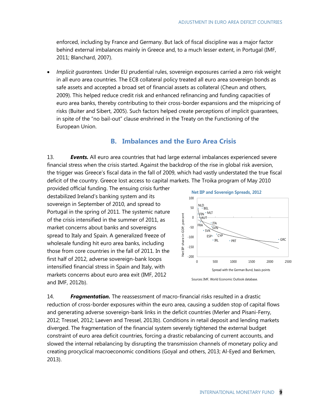enforced, including by France and Germany. But lack of fiscal discipline was a major factor behind external imbalances mainly in Greece and, to a much lesser extent, in Portugal (IMF, 2011; Blanchard, 2007).

 *Implicit guarantees.* Under EU prudential rules, sovereign exposures carried a zero risk weight in all euro area countries. The ECB collateral policy treated all euro area sovereign bonds as safe assets and accepted a broad set of financial assets as collateral (Cheun and others, 2009). This helped reduce credit risk and enhanced refinancing and funding capacities of euro area banks, thereby contributing to their cross-border expansions and the mispricing of risks (Buiter and Sibert, 2005). Such factors helped create perceptions of implicit guarantees, in spite of the "no bail-out" clause enshrined in the Treaty on the Functioning of the European Union.

### **B. Imbalances and the Euro Area Crisis**

13. *Events.* All euro area countries that had large external imbalances experienced severe financial stress when the crisis started. Against the backdrop of the rise in global risk aversion, the trigger was Greece's fiscal data in the fall of 2009, which had vastly understated the true fiscal deficit of the country. Greece lost access to capital markets. The Troika program of May 2010

provided official funding. The ensuing crisis further destabilized Ireland's banking system and its sovereign in September of 2010, and spread to Portugal in the spring of 2011. The systemic nature of the crisis intensified in the summer of 2011, as market concerns about banks and sovereigns spread to Italy and Spain. A generalized freeze of wholesale funding hit euro area banks, including those from core countries in the fall of 2011. In the first half of 2012, adverse sovereign-bank loops intensified financial stress in Spain and Italy, with markets concerns about euro area exit (IMF, 2012 and IMF, 2012b).



Sources: IMF, World Economic Outlook database.

14. *Fragmentation.* The reassessment of macro-financial risks resulted in a drastic reduction of cross-border exposures within the euro area, causing a sudden stop of capital flows and generating adverse sovereign-bank links in the deficit countries (Merler and Pisani-Ferry, 2012; Tressel, 2012; Laeven and Tressel, 2013b). Conditions in retail deposit and lending markets diverged. The fragmentation of the financial system severely tightened the external budget constraint of euro area deficit countries, forcing a drastic rebalancing of current accounts, and slowed the internal rebalancing by disrupting the transmission channels of monetary policy and creating procyclical macroeconomic conditions (Goyal and others, 2013; Al-Eyed and Berkmen, 2013).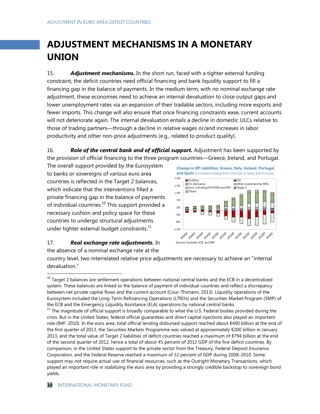# **ADJUSTMENT MECHANISMS IN A MONETARY UNION**

15. *Adjustment mechanisms***.** In the short run, faced with a tighter external funding constraint, the deficit countries need official financing and bank liquidity support to fill a financing gap in the balance of payments. In the medium term, with no nominal exchange rate adjustment, these economies need to achieve an internal devaluation to close output gaps and lower unemployment rates via an expansion of their tradable sectors, including more exports and fewer imports. This change will also ensure that once financing constraints ease, current accounts will not deteriorate again. The internal devaluation entails a decline in domestic ULCs relative to those of trading partners—through a decline in relative wages or/and increases in labor productivity and other non-price adjustments (e.g., related to product quality).

16. *Role of the central bank and of official support.* Adjustment has been supported by the provision of official financing to the three program countries––Greece, Ireland, and Portugal.

1,700

The overall support provided by the Eurosystem to banks or sovereigns of various euro area countries is reflected in the Target 2 balances, which indicate that the interventions filled a private financing gap in the balance of payments of individual countries. $^{10}$  This support provided a necessary cushion and policy space for these countries to undergo structural adjustments under tighter external budget constraints.<sup>11</sup>

#### 17. *Real exchange rate adjustments.* In the absence of a nominal exchange rate at the



**Change in IIP Liabilities: Greece, Italy, Ireland, Portugal, and Spain** (cumulative change from 2010 Q1 to latest, billion euros)

 $\Box$  Other investment by MFIs

 $2,200$  Portfolio **E** FDI<br>1.700 **E** Fin. Derivative  $\Box$  Oth

country level, two interrelated relative price adjustments are necessary to achieve an "internal devaluation."

l  $^{10}$  Target 2 balances are settlement operations between national central banks and the ECB in a decentralized system. These balances are linked to the balance of payment of individual countries and reflect a discrepancy between net private capital flows and the current account (Cour-Thimann, 2013). Liquidity operations of the Eurosystem included the Long-Term Refinancing Operations (LTROs) and the Securities Market Program (SMP) of the ECB and the Emergency Liquidity Assistance (ELA) operations by national central banks.

<sup>&</sup>lt;sup>11</sup> The magnitude of official support is broadly comparable to what the U.S. Federal bodies provided during the crisis. But in the United States, federal official guarantees and direct capital injections also played an important role (IMF, 2010). In the euro area, total official lending disbursed support reached about €400 billion at the end of the first quarter of 2013, the Securities Markets Programme was valued at approximately €200 billion in January 2013, and the total value of Target 2 liabilities of deficit countries reached a maximum of €794 billion at the end of the second quarter of 2012, hence a total of about 45 percent of 2012 GDP of the five deficit countries. By comparison, in the United States support to the private sector from the Treasury, Federal Deposit Insurance Corporation, and the Federal Reserve reached a maximum of 32 percent of GDP during 2008–2010. Some support may not require actual use of financial resources, such as the Outright Monetary Transactions, which played an important role in stabilizing the euro area by providing a strongly credible backstop to sovereign bond yields.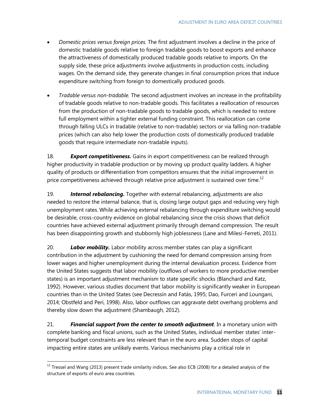- *Domestic prices versus foreign prices.* The first adjustment involves a decline in the price of domestic tradable goods relative to foreign tradable goods to boost exports and enhance the attractiveness of domestically produced tradable goods relative to imports. On the supply side, these price adjustments involve adjustments in production costs, including wages. On the demand side, they generate changes in final consumption prices that induce expenditure switching from foreign to domestically produced goods.
- *Tradable versus non-tradable.* The second adjustment involves an increase in the profitability of tradable goods relative to non-tradable goods. This facilitates a reallocation of resources from the production of non-tradable goods to tradable goods, which is needed to restore full employment within a tighter external funding constraint. This reallocation can come through falling ULCs in tradable (relative to non-tradable) sectors or via falling non-tradable prices (which can also help lower the production costs of domestically produced tradable goods that require intermediate non-tradable inputs).

18. *Export competitiveness.* Gains in export competitiveness can be realized through higher productivity in tradable production or by moving up product quality ladders. A higher quality of products or differentiation from competitors ensures that the initial improvement in price competitiveness achieved through relative price adjustment is sustained over time.<sup>12</sup>

19. *Internal rebalancing***.** Together with external rebalancing, adjustments are also needed to restore the internal balance, that is, closing large output gaps and reducing very high unemployment rates. While achieving external rebalancing through expenditure switching would be desirable, cross-country evidence on global rebalancing since the crisis shows that deficit countries have achieved external adjustment primarily through demand compression. The result has been disappointing growth and stubbornly high joblessness (Lane and Milesi-Ferreti, 2011).

20. *Labor mobility.* Labor mobility across member states can play a significant contribution in the adjustment by cushioning the need for demand compression arising from lower wages and higher unemployment during the internal devaluation process. Evidence from the United States suggests that labor mobility (outflows of workers to more productive member states) is an important adjustment mechanism to state specific shocks (Blanchard and Katz, 1992). However, various studies document that labor mobility is significantly weaker in European countries than in the United States (see Decressin and Fatás, 1995; Dao, Furceri and Loungani, 2014; Obstfeld and Peri, 1998). Also, labor outflows can aggravate debt overhang problems and thereby slow down the adjustment (Shambaugh, 2012).

21. *Financial support from the center to smooth adjustment*. In a monetary union with complete banking and fiscal unions, such as the United States, individual member states' intertemporal budget constraints are less relevant than in the euro area. Sudden stops of capital impacting entire states are unlikely events. Various mechanisms play a critical role in

<sup>&</sup>lt;sup>12</sup> Tressel and Wang (2013) present trade similarity indices. See also ECB (2008) for a detailed analysis of the structure of exports of euro area countries.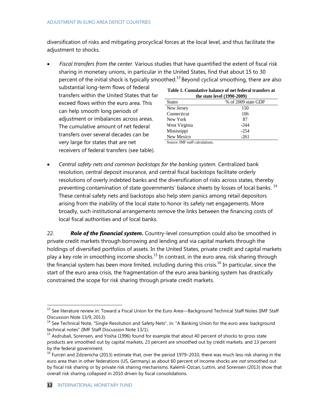diversification of risks and mitigating procyclical forces at the local level, and thus facilitate the adjustment to shocks.

 *Fiscal transfers from the center.* Various studies that have quantified the extent of fiscal risk sharing in monetary unions, in particular in the United States, find that about 15 to 30 percent of the initial shock is typically smoothed.<sup>13</sup> Beyond cyclical smoothing, there are also

substantial long-term flows of federal transfers within the United States that far exceed flows within the euro area. This can help smooth long periods of adjustment or imbalances across areas. The cumulative amount of net federal transfers over several decades can be very large for states that are net receivers of federal transfers (see table).

| Table 1. Cumulative balance of net federal transfers at |                     |  |  |
|---------------------------------------------------------|---------------------|--|--|
| the state level (1990-2009)                             |                     |  |  |
| <b>States</b>                                           | % of 2009 state GDP |  |  |
| New Jersey                                              | 150                 |  |  |
| $C_{\alpha\mu\mu\lambda\alpha}$                         | 10 $\epsilon$       |  |  |

| New Jersey                                                                                   | 150    |  |
|----------------------------------------------------------------------------------------------|--------|--|
| Connecticut                                                                                  | 106    |  |
| New York                                                                                     | 87     |  |
| West Virginia                                                                                | $-244$ |  |
| Mississippi                                                                                  | $-254$ |  |
| New Mexico                                                                                   | $-261$ |  |
| $\mathbf{r}$ $\mathbf{r}$ $\mathbf{r}$ $\mathbf{r}$ $\mathbf{r}$ $\mathbf{r}$<br>.<br>$\sim$ |        |  |

Source: IMF staff calculations.

 *Central safety nets and common backstops for the banking system.* Centralized bank resolution, central deposit insurance, and central fiscal backstops facilitate orderly resolutions of overly indebted banks and the diversification of risks across states, thereby preventing contamination of state governments' balance sheets by losses of local banks.<sup>14</sup> These central safety nets and backstops also help stem panics among retail depositors arising from the inability of the local state to honor its safety net engagements. More broadly, such institutional arrangements remove the links between the financing costs of local fiscal authorities and of local banks.

22. *Role of the financial system***.** Country-level consumption could also be smoothed in private credit markets through borrowing and lending and via capital markets through the holdings of diversified portfolios of assets. In the United States, private credit and capital markets play a key role in smoothing income shocks.<sup>15</sup> In contrast, in the euro area, risk sharing through the financial system has been more limited, including during this crisis.<sup>16</sup> In particular, since the start of the euro area crisis, the fragmentation of the euro area banking system has drastically constrained the scope for risk sharing through private credit markets.

<sup>&</sup>lt;sup>13</sup> See literature review in: Toward a Fiscal Union for the Euro Area—Background Technical Staff Notes (IMF Staff Discussion Note 13/9, 2013).

<sup>&</sup>lt;sup>14</sup> See Technical Note, "Single Resolution and Safety Nets", in: "A Banking Union for the euro area: background technical notes" (IMF Staff Discussion Note 13/1).

<sup>&</sup>lt;sup>15</sup> Asdrubali, Sorensen, and Yosha (1996) found for example that about 40 percent of shocks to gross state products are smoothed out by capital markets, 23 percent are smoothed out by credit markets, and 13 percent by the federal government.

 $16$  Furceri and Zdzienicha (2013) estimate that, over the period 1979–2010, there was much less risk sharing in the euro area than in other federations (US, Germany) as about 60 percent of income shocks are *not* smoothed out by fiscal risk sharing or by private risk sharing mechanisms. Kalemli-Ozcan, Luttini, and Sorensen (2013) show that overall risk sharing collapsed in 2010 driven by fiscal consolidations.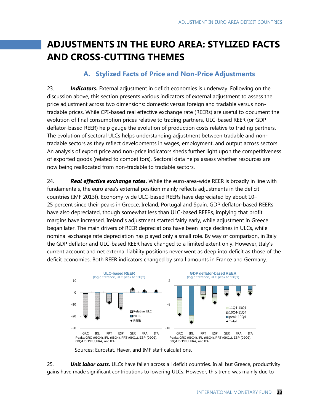# **ADJUSTMENTS IN THE EURO AREA: STYLIZED FACTS AND CROSS-CUTTING THEMES**

### **A. Stylized Facts of Price and Non-Price Adjustments**

23. *Indicators***.** External adjustment in deficit economies is underway. Following on the discussion above, this section presents various indicators of external adjustment to assess the price adjustment across two dimensions: domestic versus foreign and tradable versus nontradable prices. While CPI-based real effective exchange rate (REERs) are useful to document the evolution of final consumption prices relative to trading partners, ULC-based REER (or GDP deflator-based REER) help gauge the evolution of production costs relative to trading partners. The evolution of sectoral ULCs helps understanding adjustment between tradable and nontradable sectors as they reflect developments in wages, employment, and output across sectors. An analysis of export price and non-price indicators sheds further light upon the competitiveness of exported goods (related to competitors). Sectoral data helps assess whether resources are now being reallocated from non-tradable to tradable sectors.

24. *Real effective exchange rates***.** While the euro-area-wide REER is broadly in line with fundamentals, the euro area's external position mainly reflects adjustments in the deficit countries (IMF 2013f). Economy-wide ULC-based REERs have depreciated by about 10– 25 percent since their peaks in Greece, Ireland, Portugal and Spain. GDP deflator-based REERs have also depreciated, though somewhat less than ULC-based REERs, implying that profit margins have increased. Ireland's adjustment started fairly early, while adjustment in Greece began later. The main drivers of REER depreciations have been large declines in ULCs, while nominal exchange rate depreciation has played only a small role. By way of comparison, in Italy the GDP deflator and ULC-based REER have changed to a limited extent only. However, Italy's current account and net external liability positions never went as deep into deficit as those of the deficit economies. Both REER indicators changed by small amounts in France and Germany.





25. **Unit labor costs.** ULCs have fallen across all deficit countries. In all but Greece, productivity gains have made significant contributions to lowering ULCs. However, this trend was mainly due to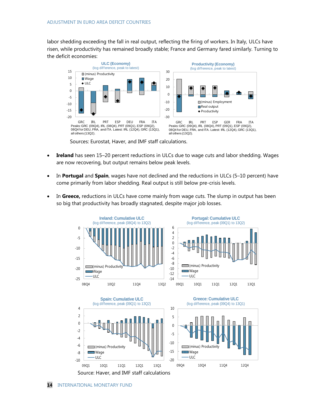labor shedding exceeding the fall in real output, reflecting the firing of workers. In Italy, ULCs have risen, while productivity has remained broadly stable; France and Germany fared similarly. Turning to the deficit economies:



- **Ireland** has seen 15–20 percent reductions in ULCs due to wage cuts and labor shedding. Wages are now recovering, but output remains below peak levels.
- In **Portugal** and **Spain**, wages have not declined and the reductions in ULCs (5–10 percent) have come primarily from labor shedding. Real output is still below pre-crisis levels.
- In Greece, reductions in ULCs have come mainly from wage cuts. The slump in output has been so big that productivity has broadly stagnated, despite major job losses.

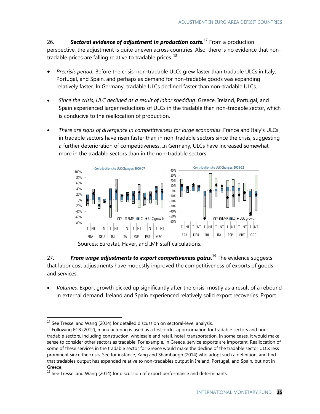26. *Sectoral evidence of adjustment in production costs.*<sup>17</sup> From a production perspective, the adjustment is quite uneven across countries. Also, there is no evidence that nontradable prices are falling relative to tradable prices.  $^{18}$ 

- *Precrisis period.* Before the crisis, non-tradable ULCs grew faster than tradable ULCs in Italy, Portugal, and Spain, and perhaps as demand for non-tradable goods was expanding relatively faster. In Germany, tradable ULCs declined faster than non-tradable ULCs.
- *Since the crisis, ULC declined as a result of labor shedding*. Greece, Ireland, Portugal, and Spain experienced larger reductions of ULCs in the tradable than non-tradable sector, which is conducive to the reallocation of production.
- *There are signs of divergence in competitiveness for large economies*. France and Italy's ULCs in tradable sectors have risen faster than in non-tradable sectors since the crisis, suggesting a further deterioration of competitiveness. In Germany, ULCs have increased somewhat more in the tradable sectors than in the non-tradable sectors.



Sources: Eurostat, Haver, and IMF staff calculations.

27. *From wage adjustments to export competiveness gains.*<sup>19</sup> The evidence suggests that labor cost adjustments have modestly improved the competitiveness of exports of goods and services.

 *Volumes.* Export growth picked up significantly after the crisis, mostly as a result of a rebound in external demand. Ireland and Spain experienced relatively solid export recoveries. Export

 $^{17}$  See Tressel and Wang (2014) for detailed discussion on sectoral-level analysis.

<sup>&</sup>lt;sup>18</sup> Following ECB (2012), manufacturing is used as a first-order approximation for tradable sectors and nontradable sectors, including construction, wholesale and retail, hotel, transportation. In some cases, it would make sense to consider other sectors as tradable. For example, in Greece, service exports are important. Reallocation of some of these services in the tradable sector for Greece would make the decline of the tradable sector ULCs less prominent since the crisis. See for instance, Kang and Shambaugh (2014) who adopt such a definition, and find that tradables output has expanded relative to non-tradables output in Ireland, Portugal, and Spain, but not in Greece.

 $19$  See Tressel and Wang (2014) for discussion of export performance and determinants.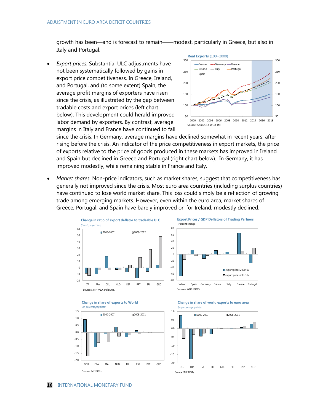growth has been—and is forecast to remain——modest, particularly in Greece, but also in Italy and Portugal.

 *Export prices.* Substantial ULC adjustments have not been systematically followed by gains in export price competitiveness. In Greece, Ireland, and Portugal, and (to some extent) Spain, the average profit margins of exporters have risen since the crisis, as illustrated by the gap between tradable costs and export prices (left chart below). This development could herald improved labor demand by exporters. By contrast, average margins in Italy and France have continued to fall



since the crisis. In Germany, average margins have declined somewhat in recent years, after rising before the crisis. An indicator of the price competitiveness in export markets, the price of exports relative to the price of goods produced in these markets has improved in Ireland and Spain but declined in Greece and Portugal (right chart below). In Germany, it has improved modestly, while remaining stable in France and Italy.

 *Market shares.* Non-price indicators, such as market shares, suggest that competitiveness has generally not improved since the crisis. Most euro area countries (including surplus countries) have continued to lose world market share. This loss could simply be a reflection of growing trade among emerging markets. However, even within the euro area, market shares of Greece, Portugal, and Spain have barely improved or, for Ireland, modestly declined.





-2.0 -1.5 -1.0 -0.5  $0.0$ 0.5 1.0 1.5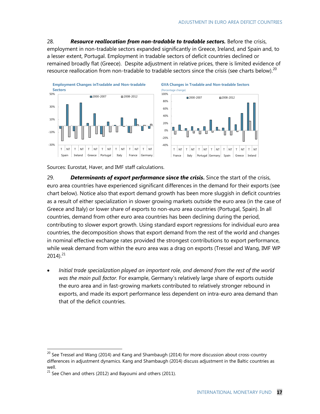28. *Resource reallocation from non-tradable to tradable sectors.* Before the crisis, employment in non-tradable sectors expanded significantly in Greece, Ireland, and Spain and, to a lesser extent, Portugal. Employment in tradable sectors of deficit countries declined or remained broadly flat (Greece). Despite adjustment in relative prices, there is limited evidence of resource reallocation from non-tradable to tradable sectors since the crisis (see charts below).<sup>20</sup>







Sources: Eurostat, Haver, and IMF staff calculations.

29. *Determinants of export performance since the crisis***.** Since the start of the crisis, euro area countries have experienced significant differences in the demand for their exports (see chart below). Notice also that export demand growth has been more sluggish in deficit countries as a result of either specialization in slower growing markets outside the euro area (in the case of Greece and Italy) or lower share of exports to non-euro area countries (Portugal, Spain). In all countries, demand from other euro area countries has been declining during the period, contributing to slower export growth. Using standard export regressions for individual euro area countries, the decomposition shows that export demand from the rest of the world and changes in nominal effective exchange rates provided the strongest contributions to export performance, while weak demand from within the euro area was a drag on exports (Tressel and Wang, IMF WP  $2014$ ).<sup>21</sup>

 *Initial trade specialization played an important role, and demand from the rest of the world was the main pull factor.* For example, Germany's relatively large share of exports outside the euro area and in fast-growing markets contributed to relatively stronger rebound in exports, and made its export performance less dependent on intra-euro area demand than that of the deficit countries.

 $^{20}$  See Tressel and Wang (2014) and Kang and Shambaugh (2014) for more discussion about cross-country differences in adjustment dynamics. Kang and Shambaugh (2014) discuss adjustment in the Baltic countries as well.

 $21$  See Chen and others (2012) and Bayoumi and others (2011).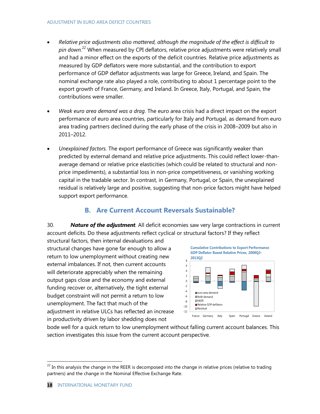- *Relative price adjustments also mattered, although the magnitude of the effect is difficult to pin down.*<sup>22</sup> When measured by CPI deflators, relative price adjustments were relatively small and had a minor effect on the exports of the deficit countries. Relative price adjustments as measured by GDP deflators were more substantial, and the contribution to export performance of GDP deflator adjustments was large for Greece, Ireland, and Spain. The nominal exchange rate also played a role, contributing to about 1 percentage point to the export growth of France, Germany, and Ireland. In Greece, Italy, Portugal, and Spain, the contributions were smaller.
- *Weak euro area demand was a drag.* The euro area crisis had a direct impact on the export performance of euro area countries, particularly for Italy and Portugal, as demand from euro area trading partners declined during the early phase of the crisis in 2008–2009 but also in 2011–2012.
- *Unexplained factors.* The export performance of Greece was significantly weaker than predicted by external demand and relative price adjustments. This could reflect lower-thanaverage demand or relative price elasticities (which could be related to structural and nonprice impediments), a substantial loss in non-price competitiveness, or vanishing working capital in the tradable sector. In contrast, in Germany, Portugal, or Spain, the unexplained residual is relatively large and positive, suggesting that non-price factors might have helped support export performance.

# **B. Are Current Account Reversals Sustainable?**

30. *Nature of the adjustment.* All deficit economies saw very large contractions in current account deficits. Do these adjustments reflect cyclical or structural factors? If they reflect

structural factors, then internal devaluations and structural changes have gone far enough to allow a return to low unemployment without creating new external imbalances. If not, then current accounts will deteriorate appreciably when the remaining output gaps close and the economy and external funding recover or, alternatively, the tight external budget constraint will not permit a return to low unemployment. The fact that much of the adjustment in relative ULCs has reflected an increase in productivity driven by labor shedding does not



bode well for a quick return to low unemployment without falling current account balances. This section investigates this issue from the current account perspective.

 $^{22}$  In this analysis the change in the REER is decomposed into the change in relative prices (relative to trading partners) and the change in the Nominal Effective Exchange Rate.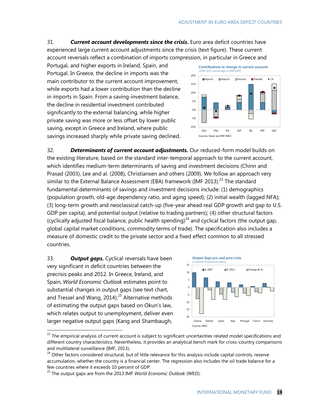31. *Current account developments since the crisis***.** Euro area deficit countries have experienced large current account adjustments since the crisis (text figure). These current account reversals reflect a combination of imports compression, in particular in Greece and

Portugal, and higher exports in Ireland, Spain, and Portugal. In Greece, the decline in imports was the main contributor to the current account improvement, while exports had a lower contribution than the decline in imports in Spain. From a saving-investment balance, the decline in residential investment contributed significantly to the external balancing, while higher private saving was more or less offset by lower public saving, except in Greece and Ireland, where public savings increased sharply while private saving declined.



32. *Determinants of current account adjustments.* Our reduced-form model builds on the existing literature, based on the standard inter-temporal approach to the current account, which identifies medium-term determinants of saving and investment decisions (Chinn and Prasad (2003), Lee and al. (2008), Christiansen and others (2009). We follow an approach very similar to the External Balance Assessment (EBA) framework (IMF 2013).<sup>23</sup> The standard fundamental determinants of savings and investment decisions include: (1) demographics (population growth, old-age dependency ratio, and aging speed); (2) initial wealth (lagged NFA); (3) long-term growth and neoclassical catch-up (five-year ahead real GDP growth and gap to U.S. GDP per capita), and potential output (relative to trading partners); (4) other structural factors (cyclically adjusted fiscal balance, public health spending) $^{24}$  and cyclical factors (the output gap, global capital market conditions, commodity terms of trade). The specification also includes a measure of domestic credit to the private sector and a fixed effect common to all stressed countries.

33. *Output gaps***.** Cyclical reversals have been very significant in deficit countries between the precrisis peaks and 2012. In Greece, Ireland, and Spain, *World Economic Outlook* estimates point to substantial changes in output gaps (see text chart, and Tressel and Wang, 2014).<sup>25</sup> Alternative methods of estimating the output gaps based on Okun's law, which relates output to unemployment, deliver even larger negative output gaps (Kang and Shambaugh,



<sup>&</sup>lt;sup>23</sup> The empirical analysis of current account is subject to significant uncertainties related model specifications and different country characteristics. Nevertheless, it provides an analytical bench mark for cross-country comparisons and multilateral surveillance (IMF, 2013).

<sup>&</sup>lt;sup>24</sup> Other factors considered structural, but of little relevance for this analysis include capital controls, reserve accumulation, whether the country is a financial center. The regression also includes the oil trade balance for a few countries where it exceeds 10 percent of GDP.

<sup>25</sup> The output gaps are from the 2013 IMF *World Economic Outlook* (WEO).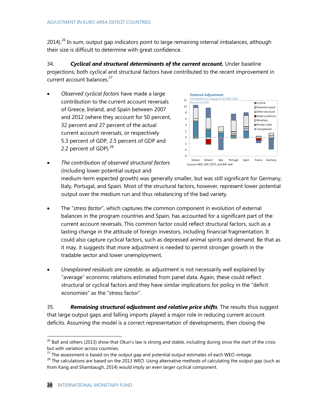2014).<sup>26</sup> In sum, output gap indicators point to large remaining internal imbalances, although their size is difficult to determine with great confidence.

34. *Cyclical and structural determinants of the current account.* Under baseline projections, both cyclical and structural factors have contributed to the recent improvement in current account balances.<sup>27</sup>

 *Observed cyclical factors* have made a large contribution to the current account reversals of Greece, Ireland, and Spain between 2007 and 2012 (where they account for 50 percent, 32 percent and 27 percent of the actual current account reversals, or respectively 5.3 percent of GDP, 2.5 percent of GDP and 2.2 percent of GDP $1.28$ 



 *The contribution of observed structural factors* (including lower potential output and

> medium-term expected growth) was generally smaller, but was still significant for Germany, Italy, Portugal, and Spain. Most of the structural factors, however, represent lower potential output over the medium run and thus rebalancing of the bad variety.

- The "stress factor", which captures the common component in evolution of external balances in the program countries and Spain, has accounted for a significant part of the current account reversals. This common factor could reflect structural factors, such as a lasting change in the attitude of foreign investors, including financial fragmentation. It could also capture cyclical factors, such as depressed animal spirits and demand. Be that as it may, it suggests that more adjustment is needed to permit stronger growth in the tradable sector and lower unemployment.
- *Unexplained residuals are sizeable*, as adjustment is not necessarily well explained by "average" economic relations estimated from panel data. Again, these could reflect structural or cyclical factors and they have similar implications for policy in the "deficit economies" as the "stress factor".

35. *Remaining structural adjustment and relative price shifts*. The results thus suggest that large output gaps and falling imports played a major role in reducing current account deficits. Assuming the model is a correct representation of developments, then closing the

 $^{26}$  Ball and others (2013) show that Okun's law is strong and stable, including during since the start of the crisis but with variation across countries.

 $27$  The assessment is based on the output gap and potential output estimates of each WEO vintage.

 $^{28}$  The calculations are based on the 2013 WEO. Using alternative methods of calculating the output gap (such as from Kang and Shambaugh, 2014) would imply an even larger cyclical component.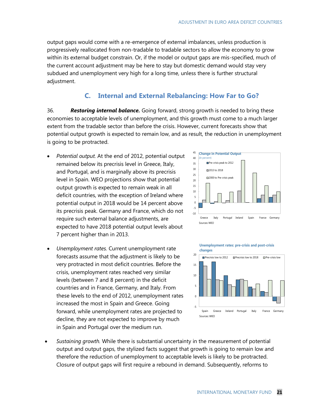output gaps would come with a re-emergence of external imbalances, unless production is progressively reallocated from non-tradable to tradable sectors to allow the economy to grow within its external budget constrain. Or, if the model or output gaps are mis-specified, much of the current account adjustment may be here to stay but domestic demand would stay very subdued and unemployment very high for a long time, unless there is further structural adjustment.

#### **C. Internal and External Rebalancing: How Far to Go?**

36. *Restoring internal balance.* Going forward, strong growth is needed to bring these economies to acceptable levels of unemployment, and this growth must come to a much larger extent from the tradable sector than before the crisis. However, current forecasts show that potential output growth is expected to remain low, and as result, the reduction in unemployment is going to be protracted.

- *Potential output.* At the end of 2012, potential output remained below its precrisis level in Greece, Italy, and Portugal, and is marginally above its precrisis level in Spain. WEO projections show that potential output growth is expected to remain weak in all deficit countries, with the exception of Ireland where potential output in 2018 would be 14 percent above its precrisis peak. Germany and France, which do not require such external balance adjustments, are expected to have 2018 potential output levels about 7 percent higher than in 2013.
- *Unemployment rates.* Current unemployment rate forecasts assume that the adjustment is likely to be very protracted in most deficit countries. Before the crisis, unemployment rates reached very similar levels (between 7 and 8 percent) in the deficit countries and in France, Germany, and Italy. From these levels to the end of 2012, unemployment rates increased the most in Spain and Greece. Going forward, while unemployment rates are projected to decline, they are not expected to improve by much in Spain and Portugal over the medium run.



**Unemployment rates: pre-crisis and post-crisis changes**



 *Sustaining growth.* While there is substantial uncertainty in the measurement of potential output and output gaps, the stylized facts suggest that growth is going to remain low and therefore the reduction of unemployment to acceptable levels is likely to be protracted. Closure of output gaps will first require a rebound in demand. Subsequently, reforms to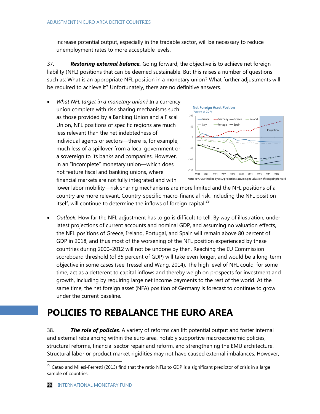increase potential output, especially in the tradable sector, will be necessary to reduce unemployment rates to more acceptable levels.

37. *Restoring external balance.* Going forward, the objective is to achieve net foreign liability (NFL) positions that can be deemed sustainable. But this raises a number of questions such as: What is an appropriate NFL position in a monetary union? What further adjustments will be required to achieve it? Unfortunately, there are no definitive answers.

 *What NFL target in a monetary union?* In a currency union complete with risk sharing mechanisms such as those provided by a Banking Union and a Fiscal Union, NFL positions of specific regions are much less relevant than the net indebtedness of individual agents or sectors--there is, for example, much less of a spillover from a local government or a sovereign to its banks and companies. However, in an "incomplete" monetary union––which does not feature fiscal and banking unions, where financial markets are not fully integrated and with



lower labor mobility––risk sharing mechanisms are more limited and the NFL positions of a country are more relevant. Country-specific macro-financial risk, including the NFL position itself, will continue to determine the inflows of foreign capital. $^{29}$ 

 *Outlook.* How far the NFL adjustment has to go is difficult to tell. By way of illustration, under latest projections of current accounts and nominal GDP, and assuming no valuation effects, the NFL positions of Greece, Ireland, Portugal, and Spain will remain above 80 percent of GDP in 2018, and thus most of the worsening of the NFL position experienced by these countries during 2000–2012 will not be undone by then. Reaching the EU Commission scoreboard threshold (of 35 percent of GDP) will take even longer, and would be a long-term objective in some cases (see Tressel and Wang, 2014). The high level of NFL could, for some time, act as a detterent to capital inflows and thereby weigh on prospects for investment and growth, including by requiring large net income payments to the rest of the world. At the same time, the net foreign asset (NFA) position of Germany is forecast to continue to grow under the current baseline.

# **POLICIES TO REBALANCE THE EURO AREA**

38. *The role of policies*. A variety of reforms can lift potential output and foster internal and external rebalancing within the euro area, notably supportive macroeconomic policies, structural reforms, financial sector repair and reform, and strengthening the EMU architecture. Structural labor or product market rigidities may not have caused external imbalances. However,

<sup>&</sup>lt;sup>29</sup> Catao and Milesi-Ferretti (2013) find that the ratio NFLs to GDP is a significant predictor of crisis in a large sample of countries.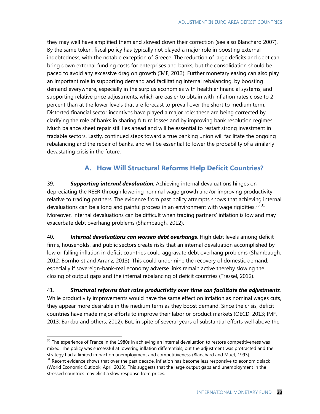they may well have amplified them and slowed down their correction (see also Blanchard 2007). By the same token, fiscal policy has typically not played a major role in boosting external indebtedness, with the notable exception of Greece. The reduction of large deficits and debt can bring down external funding costs for enterprises and banks, but the consolidation should be paced to avoid any excessive drag on growth (IMF, 2013). Further monetary easing can also play an important role in supporting demand and facilitating internal rebalancing, by boosting demand everywhere, especially in the surplus economies with healthier financial systems, and supporting relative price adjustments, which are easier to obtain with inflation rates close to 2 percent than at the lower levels that are forecast to prevail over the short to medium term. Distorted financial sector incentives have played a major role: these are being corrected by clarifying the role of banks in sharing future losses and by improving bank resolution regimes. Much balance sheet repair still lies ahead and will be essential to restart strong investment in tradable sectors. Lastly, continued steps toward a true banking union will facilitate the ongoing rebalancing and the repair of banks, and will be essential to lower the probability of a similarly devastating crisis in the future.

### **A. How Will Structural Reforms Help Deficit Countries?**

39. *Supporting internal devaluation.* Achieving internal devaluations hinges on depreciating the REER through lowering nominal wage growth and/or improving productivity relative to trading partners. The evidence from past policy attempts shows that achieving internal devaluations can be a long and painful process in an environment with wage rigidities. $30\,31$ Moreover, internal devaluations can be difficult when trading partners' inflation is low and may exacerbate debt overhang problems (Shambaugh, 2012).

40. *Internal devaluations can worsen debt overhangs.* High debt levels among deficit firms, households, and public sectors create risks that an internal devaluation accomplished by low or falling inflation in deficit countries could aggravate debt overhang problems (Shambaugh, 2012; Bornhorst and Arranz, 2013). This could undermine the recovery of domestic demand, especially if sovereign-bank-real economy adverse links remain active thereby slowing the closing of output gaps and the internal rebalancing of deficit countries (Tressel, 2012).

41. *Structural reforms that raise productivity over time can facilitate the adjustments.* While productivity improvements would have the same effect on inflation as nominal wages cuts, they appear more desirable in the medium term as they boost demand. Since the crisis, deficit countries have made major efforts to improve their labor or product markets (OECD, 2013; IMF, 2013; Barkbu and others, 2012). But, in spite of several years of substantial efforts well above the

<sup>&</sup>lt;sup>30</sup> The experience of France in the 1980s in achieving an internal devaluation to restore competitiveness was mixed. The policy was successful at lowering inflation differentials, but the adjustment was protracted and the strategy had a limited impact on unemployment and competitiveness (Blanchard and Muet, 1993).

 $31$  Recent evidence shows that over the past decade, inflation has become less responsive to economic slack (World Economic Outlook, April 2013). This suggests that the large output gaps and unemployment in the stressed countries may elicit a slow response from prices.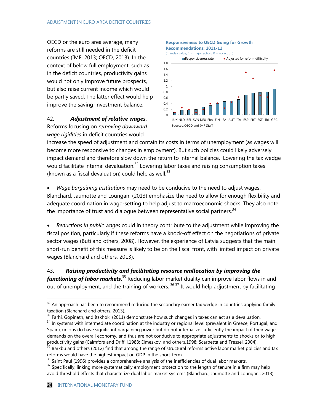OECD or the euro area average, many reforms are still needed in the deficit countries (IMF, 2013; OECD, 2013). In the context of below full employment, such as in the deficit countries, productivity gains would not only improve future prospects, but also raise current income which would be partly saved. The latter effect would help improve the saving-investment balance.

#### 42. *Adjustment of relative wages*.

Reforms focusing on *removing downward wage rigidities* in deficit countries would

#### **Responsiveness to OECD Going for Growth Recommendations: 2011-12**



increase the speed of adjustment and contain its costs in terms of unemployment (as wages will become more responsive to changes in employment). But such policies could likely adversely impact demand and therefore slow down the return to internal balance. Lowering the tax wedge would facilitate internal devaluation. $32$  Lowering labor taxes and raising consumption taxes (known as a fiscal devaluation) could help as well. $33$ 

 *Wage bargaining institutions* may need to be conducive to the need to adjust wages. Blanchard, Jaumotte and Loungani (2013) emphasize the need to allow for enough flexibility and adequate coordination in wage-setting to help adjust to macroeconomic shocks. They also note the importance of trust and dialogue between representative social partners.<sup>34</sup>

 *Reductions in public wages* could in theory contribute to the adjustment while improving the fiscal position, particularly if these reforms have a knock-off effect on the negotiations of private sector wages (Buti and others, 2008). However, the experience of Latvia suggests that the main short-run benefit of this measure is likely to be on the fiscal front, with limited impact on private wages (Blanchard and others, 2013).

43. *Raising productivity and facilitating resource reallocation by improving the*  functioning of labor markets.<sup>35</sup> Reducing labor market duality can improve labor flows in and out of unemployment, and the training of workers. <sup>36</sup> <sup>37</sup> It would help adjustment by facilitating

 $32$  An approach has been to recommend reducing the secondary earner tax wedge in countries applying family taxation (Blanchard and others, 2013).

 $33$  Farhi, Gopinath, and Itskhoki (2011) demonstrate how such changes in taxes can act as a devaluation.

<sup>&</sup>lt;sup>34</sup> In systems with intermediate coordination at the industry or regional level (prevalent in Greece, Portugal, and Spain), unions do have significant bargaining power but do not internalize sufficiently the impact of their wage demands on the overall economy, and thus are not conducive to appropriate adjustments to shocks or to high productivity gains (Calmfors and Driffill,1988; Elmeskov, and others,1998; Scarpetta and Tressel, 2004).

<sup>&</sup>lt;sup>35</sup> Barkbu and others (2012) find that among the range of structural reforms active labor market policies and tax reforms would have the highest impact on GDP in the short-term.

<sup>&</sup>lt;sup>36</sup> Saint Paul (1996) provides a comprehensive analysis of the inefficiencies of dual labor markets.

<sup>&</sup>lt;sup>37</sup> Specifically, linking more systematically employment protection to the length of tenure in a firm may help avoid threshold effects that characterize dual labor market systems (Blanchard, Jaumotte and Loungani, 2013).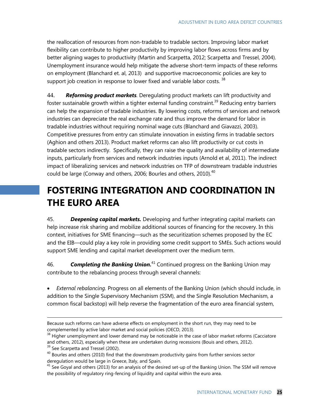the reallocation of resources from non-tradable to tradable sectors. Improving labor market flexibility can contribute to higher productivity by improving labor flows across firms and by better aligning wages to productivity (Martin and Scarpetta, 2012; Scarpetta and Tressel, 2004). Unemployment insurance would help mitigate the adverse short-term impacts of these reforms on employment (Blanchard et. al, 2013) and supportive macroeconomic policies are key to support job creation in response to lower fixed and variable labor costs.  $38$ 

44. *Reforming product markets.* Deregulating product markets can lift productivity and foster sustainable growth within a tighter external funding constraint.<sup>39</sup> Reducing entry barriers can help the expansion of tradable industries. By lowering costs, reforms of services and network industries can depreciate the real exchange rate and thus improve the demand for labor in tradable industries without requiring nominal wage cuts (Blanchard and Giavazzi, 2003). Competitive pressures from entry can stimulate innovation in existing firms in tradable sectors (Aghion and others 2013). Product market reforms can also lift productivity or cut costs in tradable sectors indirectly. Specifically, they can raise the quality and availability of intermediate inputs, particularly from services and network industries inputs (Arnold et al, 2011). The indirect impact of liberalizing services and network industries on TFP of downstream tradable industries could be large (Conway and others, 2006; Bourles and others, 2010).<sup>40</sup>

# **FOSTERING INTEGRATION AND COORDINATION IN THE EURO AREA**

45. *Deepening capital markets.* Developing and further integrating capital markets can help increase risk sharing and mobilize additional sources of financing for the recovery. In this context, initiatives for SME financing—such as the securitization schemes proposed by the EC and the EIB—could play a key role in providing some credit support to SMEs. Such actions would support SME lending and capital market development over the medium term.

46. *Completing the Banking Union.*<sup>41</sup> Continued progress on the Banking Union may contribute to the rebalancing process through several channels:

 *External rebalancing.* Progress on all elements of the Banking Union (which should include, in addition to the Single Supervisory Mechanism (SSM), and the Single Resolution Mechanism, a common fiscal backstop) will help reverse the fragmentation of the euro area financial system,

Because such reforms can have adverse effects on employment in the short run, they may need to be complemented by active labor market and social policies (OECD, 2013).

<sup>&</sup>lt;sup>38</sup> Higher unemployment and lower demand may be noticeable in the case of labor market reforms (Cacciatore and others, 2012), especially when these are undertaken during recessions (Bouis and others, 2012).

<sup>&</sup>lt;sup>39</sup> See Scarpetta and Tressel (2002).

 $^{40}$  Bourles and others (2010) find that the downstream productivity gains from further services sector deregulation would be large in Greece, Italy, and Spain.

 $41$  See Goyal and others (2013) for an analysis of the desired set-up of the Banking Union. The SSM will remove the possibility of regulatory ring-fencing of liquidity and capital within the euro area.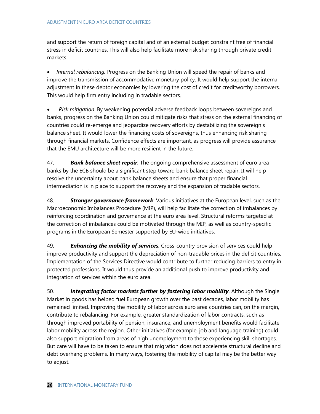and support the return of foreign capital and of an external budget constraint free of financial stress in deficit countries. This will also help facilitate more risk sharing through private credit markets.

 *Internal rebalancing.* Progress on the Banking Union will speed the repair of banks and improve the transmission of accommodative monetary policy. It would help support the internal adjustment in these debtor economies by lowering the cost of credit for creditworthy borrowers. This would help firm entry including in tradable sectors.

 *Risk mitigation*. By weakening potential adverse feedback loops between sovereigns and banks, progress on the Banking Union could mitigate risks that stress on the external financing of countries could re-emerge and jeopardize recovery efforts by destabilizing the sovereign's balance sheet. It would lower the financing costs of sovereigns, thus enhancing risk sharing through financial markets. Confidence effects are important, as progress will provide assurance that the EMU architecture will be more resilient in the future.

47. *Bank balance sheet repair.* The ongoing comprehensive assessment of euro area banks by the ECB should be a significant step toward bank balance sheet repair. It will help resolve the uncertainty about bank balance sheets and ensure that proper financial intermediation is in place to support the recovery and the expansion of tradable sectors.

48. *Stronger governance framework*. Various initiatives at the European level, such as the Macroeconomic Imbalances Procedure (MIP), will help facilitate the correction of imbalances by reinforcing coordination and governance at the euro area level. Structural reforms targeted at the correction of imbalances could be motivated through the MIP, as well as country-specific programs in the European Semester supported by EU-wide initiatives.

49. *Enhancing the mobility of services.* Cross-country provision of services could help improve productivity and support the depreciation of non-tradable prices in the deficit countries. Implementation of the Services Directive would contribute to further reducing barriers to entry in protected professions. It would thus provide an additional push to improve productivity and integration of services within the euro area.

50. *Integrating factor markets further by fostering labor mobility*. Although the Single Market in goods has helped fuel European growth over the past decades, labor mobility has remained limited. Improving the mobility of labor across euro area countries can, on the margin, contribute to rebalancing. For example, greater standardization of labor contracts, such as through improved portability of pension, insurance, and unemployment benefits would facilitate labor mobility across the region. Other initiatives (for example, job and language training) could also support migration from areas of high unemployment to those experiencing skill shortages. But care will have to be taken to ensure that migration does not accelerate structural decline and debt overhang problems. In many ways, fostering the mobility of capital may be the better way to adjust.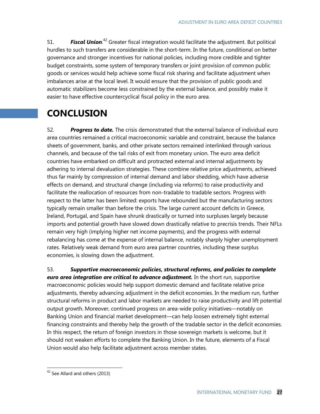51. **Fiscal Union**.<sup>42</sup> Greater fiscal integration would facilitate the adjustment. But political hurdles to such transfers are considerable in the short-term. In the future, conditional on better governance and stronger incentives for national policies, including more credible and tighter budget constraints, some system of temporary transfers or joint provision of common public goods or services would help achieve some fiscal risk sharing and facilitate adjustment when imbalances arise at the local level. It would ensure that the provision of public goods and automatic stabilizers become less constrained by the external balance, and possibly make it easier to have effective countercyclical fiscal policy in the euro area.

# **CONCLUSION**

52. *Progress to date.* The crisis demonstrated that the external balance of individual euro area countries remained a critical macroeconomic variable and constraint, because the balance sheets of government, banks, and other private sectors remained interlinked through various channels, and because of the tail risks of exit from monetary union. The euro area deficit countries have embarked on difficult and protracted external and internal adjustments by adhering to internal devaluation strategies. These combine relative price adjustments, achieved thus far mainly by compression of internal demand and labor shedding, which have adverse effects on demand, and structural change (including via reforms) to raise productivity and facilitate the reallocation of resources from non-tradable to tradable sectors. Progress with respect to the latter has been limited: exports have rebounded but the manufacturing sectors typically remain smaller than before the crisis. The large current account deficits in Greece, Ireland, Portugal, and Spain have shrunk drastically or turned into surpluses largely because imports and potential growth have slowed down drastically relative to precrisis trends. Their NFLs remain very high (implying higher net income payments), and the progress with external rebalancing has come at the expense of internal balance, notably sharply higher unemployment rates. Relatively weak demand from euro area partner countries, including these surplus economies, is slowing down the adjustment.

53. *Supportive macroeconomic policies, structural reforms, and policies to complete euro area integration are critical to advance adjustment.* In the short run, supportive macroeconomic policies would help support domestic demand and facilitate relative price adjustments, thereby advancing adjustment in the deficit economies. In the medium run, further structural reforms in product and labor markets are needed to raise productivity and lift potential output growth. Moreover, continued progress on area-wide policy initiatives––notably on Banking Union and financial market development—can help loosen extremely tight external financing constraints and thereby help the growth of the tradable sector in the deficit economies. In this respect, the return of foreign investors in those sovereign markets is welcome, but it should not weaken efforts to complete the Banking Union. In the future, elements of a Fiscal Union would also help facilitate adjustment across member states.

 $42$  See Allard and others (2013)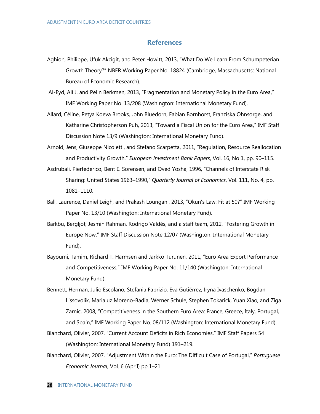#### **References**

- Aghion, Philippe, Ufuk Akcigit, and Peter Howitt, 2013, "What Do We Learn From Schumpeterian Growth Theory?" NBER Working Paper No. 18824 (Cambridge, Massachusetts: National Bureau of Economic Research).
- Al-Eyd, Ali J. and Pelin Berkmen, 2013, "Fragmentation and Monetary Policy in the Euro Area," IMF Working Paper No. 13/208 (Washington: International Monetary Fund).
- Allard, Céline, Petya Koeva Brooks, John Bluedorn, Fabian Bornhorst, Franziska Ohnsorge, and Katharine Christopherson Puh, 2013, "Toward a Fiscal Union for the Euro Area," IMF Staff Discussion Note 13/9 (Washington: International Monetary Fund).
- Arnold, Jens, Giuseppe Nicoletti, and Stefano Scarpetta, 2011, "Regulation, Resource Reallocation and Productivity Growth," *European Investment Bank Papers*, Vol. 16, No 1, pp. 90–115.
- Asdrubali, Pierfederico, Bent E. Sorensen, and Oved Yosha, 1996, "Channels of Interstate Risk Sharing: United States 1963–1990," *Quarterly Journal of Economics*, Vol. 111, No. 4, pp. 1081–1110.
- Ball, Laurence, Daniel Leigh, and Prakash Loungani, 2013, "Okun's Law: Fit at 50?" IMF Working Paper No. 13/10 (Washington: International Monetary Fund).
- Barkbu, Bergljot, Jesmin Rahman, Rodrigo Valdés, and a staff team, 2012, "Fostering Growth in Europe Now," IMF Staff Discussion Note 12/07 (Washington: International Monetary Fund).
- Bayoumi, Tamim, Richard T. Harmsen and Jarkko Turunen, 2011, "Euro Area Export Performance and Competitiveness," IMF Working Paper No. 11/140 (Washington: International Monetary Fund).
- Bennett, Herman, Julio Escolano, Stefania Fabrizio, Eva Gutiérrez, Iryna Ivaschenko, Bogdan Lissovolik, Marialuz Moreno-Badia, Werner Schule, Stephen Tokarick, Yuan Xiao, and Ziga Zarnic, 2008, "Competitiveness in the Southern Euro Area: France, Greece, Italy, Portugal, and Spain," IMF Working Paper No. 08/112 (Washington: International Monetary Fund).
- Blanchard, Olivier, 2007, "Current Account Deficits in Rich Economies," IMF Staff Papers 54 (Washington: International Monetary Fund) 191–219.
- Blanchard, Olivier, 2007, "Adjustment Within the Euro: The Difficult Case of Portugal," *Portuguese Economic Journal*, Vol. 6 (April) pp.1–21.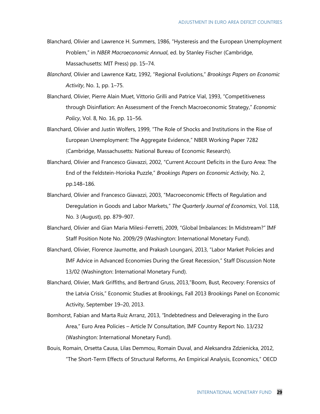- Blanchard, Olivier and Lawrence H. Summers, 1986, "Hysteresis and the European Unemployment Problem," in *NBER Macroeconomic Annual*, ed. by Stanley Fischer (Cambridge, Massachusetts: MIT Press) pp. 15–74.
- *Blanchard*, Olivier and Lawrence Katz, 1992, "Regional Evolutions," *Brookings Papers on Economic Activity*, No. 1, pp. 1–75.
- Blanchard, Olivier, Pierre Alain Muet, Vittorio Grilli and Patrice Vial, 1993, "Competitiveness through Disinflation: An Assessment of the French Macroeconomic Strategy," *Economic Policy*, Vol. 8, No. 16, pp. 11–56.
- Blanchard, Olivier and Justin Wolfers, 1999, "The Role of Shocks and Institutions in the Rise of European Unemployment: The Aggregate Evidence," NBER Working Paper 7282 (Cambridge, Massachusetts: National Bureau of Economic Research).
- Blanchard, Olivier and Francesco Giavazzi, 2002, "Current Account Deficits in the Euro Area: The End of the Feldstein-Horioka Puzzle," *Brookings Papers on Economic Activity,* No. 2, pp.148–186.
- Blanchard, Olivier and Francesco Giavazzi, 2003, "Macroeconomic Effects of Regulation and Deregulation in Goods and Labor Markets," *The Quarterly Journal of Economics*, Vol. 118, No. 3 (August), pp. 879–907.
- Blanchard, Olivier and Gian Maria Milesi-Ferretti, 2009, "Global Imbalances: In Midstream?" IMF Staff Position Note No. 2009/29 (Washington: International Monetary Fund).
- Blanchard, Olivier, Florence Jaumotte, and Prakash Loungani, 2013, "Labor Market Policies and IMF Advice in Advanced Economies During the Great Recession," Staff Discussion Note 13/02 (Washington: International Monetary Fund).
- Blanchard, Olivier, Mark Griffiths, and Bertrand Gruss, 2013,"Boom, Bust, Recovery: Forensics of the Latvia Crisis," Economic Studies at Brookings, Fall 2013 Brookings Panel on Economic Activity, September 19–20, 2013.
- Bornhorst, Fabian and Marta Ruiz Arranz, 2013, "Indebtedness and Deleveraging in the Euro Area," Euro Area Policies – Article IV Consultation, IMF Country Report No. 13/232 (Washington: International Monetary Fund).
- Bouis, Romain, Orsetta Causa, Lilas Demmou, Romain Duval, and Aleksandra Zdzienicka, 2012, "The Short-Term Effects of Structural Reforms, An Empirical Analysis, Economics," OECD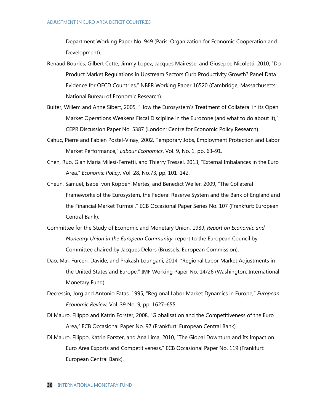Department Working Paper No. 949 (Paris: Organization for Economic Cooperation and Development).

- Renaud Bourlès, Gilbert Cette, Jimmy Lopez, Jacques Mairesse, and Giuseppe Nicoletti, 2010, "Do Product Market Regulations in Upstream Sectors Curb Productivity Growth? Panel Data Evidence for OECD Countries," NBER Working Paper 16520 (Cambridge, Massachusetts: National Bureau of Economic Research).
- Buiter, Willem and Anne Sibert, 2005, "How the Eurosystem's Treatment of Collateral in its Open Market Operations Weakens Fiscal Discipline in the Eurozone (and what to do about it)," CEPR Discussion Paper No. 5387 (London: Centre for Economic Policy Research).
- Cahuc, Pierre and Fabien Postel-Vinay, 2002, Temporary Jobs, Employment Protection and Labor Market Performance," *Labour Economics*, Vol. 9, No. 1, pp. 63–91.
- Chen, Ruo, Gian Maria Milesi-Ferretti, and Thierry Tressel, 2013, "External Imbalances in the Euro Area," *Economic Policy*, Vol. 28, No.73, pp. 101–142.
- Cheun, Samuel, Isabel von Köppen-Mertes, and Benedict Weller, 2009, "The Collateral Frameworks of the Eurosystem, the Federal Reserve System and the Bank of England and the Financial Market Turmoil," ECB Occasional Paper Series No. 107 (Frankfurt: European Central Bank).
- Committee for the Study of Economic and Monetary Union, 1989, *Report on Economic and Monetary Union in the European Community*, report to the European Council by Committee chaired by Jacques Delors (Brussels: European Commission).
- Dao, Mai, Furceri, Davide, and Prakash Loungani, 2014, "Regional Labor Market Adjustments in the United States and Europe," IMF Working Paper No. 14/26 (Washington: International Monetary Fund).
- Decressin, Jorg and Antonio Fatas, 1995, ["Regional Labor Market Dynamics in Europe,](http://ideas.repec.org/a/eee/eecrev/v39y1995i9p1627-1655.html)" *[European](http://ideas.repec.org/s/eee/eecrev.html)  [Economic Review](http://ideas.repec.org/s/eee/eecrev.html)*, Vol. 39 No. 9, pp. 1627–655.
- Di Mauro, Filippo and Katrin Forster, 2008, "Globalisation and the Competitiveness of the Euro Area," ECB Occasional Paper No. 97 (Frankfurt: European Central Bank).
- Di Mauro, Filippo, Katrin Forster, and Ana Lima, 2010, "The Global Downturn and Its Impact on Euro Area Exports and Competitiveness," ECB Occasional Paper No. 119 (Frankfurt: European Central Bank).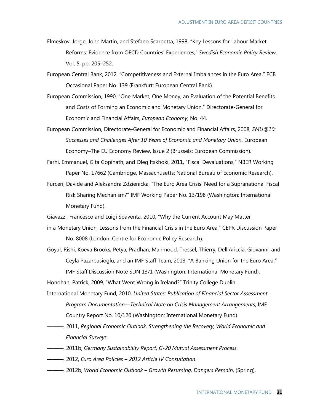- Elmeskov, Jorge, John Martin, and Stefano Scarpetta, 1998, "Key Lessons for Labour Market Reforms: Evidence from OECD Countries' Experiences," *Swedish Economic Policy Review*, Vol. 5, pp. 205–252.
- European Central Bank, 2012, "Competitiveness and External Imbalances in the Euro Area," ECB Occasional Paper No. 139 (Frankfurt: European Central Bank).
- European Commission, 1990, "One Market, One Money, an Evaluation of the Potential Benefits and Costs of Forming an Economic and Monetary Union," Directorate-General for Economic and Financial Affairs, *European Economy*, No. 44.
- European Commission, Directorate-General for Economic and Financial Affairs, 2008, *EMU@10: Successes and Challenges After 10 Years of Economic and Monetary Union*, European Economy–The EU Economy Review, Issue 2 (Brussels: European Commission).
- Farhi, Emmanuel, Gita Gopinath, and Oleg Itskhoki, 2011, "Fiscal Devaluations," NBER Working Paper No. 17662 (Cambridge, Massachusetts: National Bureau of Economic Research).
- Furceri, Davide and Aleksandra Zdzienicka, "The Euro Area Crisis: Need for a Supranational Fiscal Risk Sharing Mechanism?" IMF Working Paper No. 13/198 (Washington: International Monetary Fund).
- Giavazzi, Francesco and Luigi Spaventa, 2010, "Why the Current Account May Matter
- in a Monetary Union, Lessons from the Financial Crisis in the Euro Area," CEPR Discussion Paper No. 8008 (London: Centre for Economic Policy Research).
- Goyal, Rishi, Koeva Brooks, Petya, Pradhan, Mahmood, Tressel, Thierry, Dell'Ariccia, Giovanni, and Ceyla Pazarbasioglu, and an IMF Staff Team, 2013, "A Banking Union for the Euro Area," IMF Staff Discussion Note SDN 13/1 (Washington: International Monetary Fund).

Honohan, Patrick, 2009, "What Went Wrong in Ireland?" Trinity College Dublin.

- International Monetary Fund, 2010, *United States: Publication of Financial Sector Assessment Program Documentation—Technical Note on Crisis Management Arrangements*, IMF Country Report No. 10/120 (Washington: International Monetary Fund).
- ———, 2011, *Regional Economic Outlook, Strengthening the Recovery, World Economic and Financial Surveys*.
- ———, 2011b, *Germany Sustainability Report, G-20 Mutual Assessment Process*.
- ———, 2012, *Euro Area Policies – 2012 Article IV Consultation*.
	- ———, 2012b, *World Economic Outlook – Growth Resuming, Dangers Remain*, (Spring).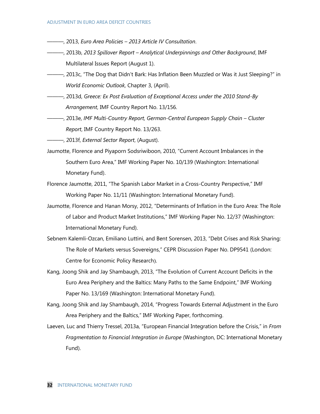- ———, 2013, *Euro Area Policies – 2013 Article IV Consultation*.
- ———, 2013b, *2013 Spillover Report – Analytical Underpinnings and Other Background*, IMF Multilateral Issues Report (August 1).
- ———, 2013c, "The Dog that Didn't Bark: Has Inflation Been Muzzled or Was it Just Sleeping?" in *World Economic Outlook,* Chapter 3, (April).
- ———, 2013d, *Greece: Ex Post Evaluation of Exceptional Access under the 2010 Stand-By Arrangement*, IMF Country Report No. 13/156.
- ——, 2013e, *IMF Multi-Country Report, German-Central European Supply Chain Cluster Report*, IMF Country Report No. 13/263.

———, 2013f, *External Sector Report*, (August).

- Jaumotte, Florence and Piyaporn Sodsriwiboon, 2010, "Current Account Imbalances in the Southern Euro Area," IMF Working Paper No. 10/139 (Washington: International Monetary Fund).
- Florence Jaumotte, 2011, "The Spanish Labor Market in a Cross-Country Perspective," IMF Working Paper No. 11/11 (Washington: International Monetary Fund).
- Jaumotte, Florence and Hanan Morsy, 2012, "Determinants of Inflation in the Euro Area: The Role of Labor and Product Market Institutions," IMF Working Paper No. 12/37 (Washington: International Monetary Fund).
- Sebnem Kalemli-Ozcan, Emiliano Luttini, and Bent Sorensen, 2013, "Debt Crises and Risk Sharing: The Role of Markets versus Sovereigns," [CEPR Discussion Paper No. DP9541](http://papers.ssrn.com/sol3/papers.cfm?abstract_id=2291362##) (London: Centre for Economic Policy Research).
- Kang, Joong Shik and Jay Shambaugh, 2013, "The Evolution of Current Account Deficits in the Euro Area Periphery and the Baltics: Many Paths to the Same Endpoint," IMF Working Paper No. 13/169 (Washington: International Monetary Fund).
- Kang, Joong Shik and Jay Shambaugh, 2014, "Progress Towards External Adjustment in the Euro Area Periphery and the Baltics," IMF Working Paper, forthcoming.
- Laeven, Luc and Thierry Tressel, 2013a, "European Financial Integration before the Crisis," in *From Fragmentation to Financial Integration in Europe* (Washington, DC: International Monetary Fund).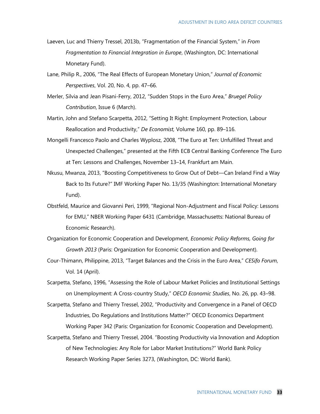- Laeven, Luc and Thierry Tressel, 2013b, "Fragmentation of the Financial System," in *From Fragmentation to Financial Integration in Europe*, (Washington, DC: International Monetary Fund).
- Lane, Philip R., 2006, "The Real Effects of European Monetary Union," *Journal of Economic Perspectives*, Vol. 20, No. 4, pp. 47–66.
- Merler, Silvia and Jean Pisani-Ferry, 2012, "Sudden Stops in the Euro Area," *Bruegel Policy Contribution*, Issue 6 (March).
- Martin, John and Stefano Scarpetta, 2012, "Setting It Right: Employment Protection, Labour Reallocation and Productivity," *De Economist,* Volume 160, pp. 89–116.
- Mongelli Francesco Paolo and Charles Wyplosz, 2008, "The Euro at Ten: Unfulfilled Threat and Unexpected Challenges," presented at the Fifth ECB Central Banking Conference The Euro at Ten: Lessons and Challenges, November 13–14, Frankfurt am Main.
- Nkusu, Mwanza, 2013, "Boosting Competitiveness to Grow Out of Debt—Can Ireland Find a Way Back to Its Future?" IMF Working Paper No. 13/35 (Washington: International Monetary Fund).
- Obstfeld, Maurice and Giovanni Peri, 1999, "Regional Non-Adjustment and Fiscal Policy: Lessons for EMU," NBER Working Paper 6431 (Cambridge, Massachusetts: National Bureau of Economic Research).
- Organization for Economic Cooperation and Development, *Economic Policy Reforms, Going for Growth 2013* (Paris: Organization for Economic Cooperation and Development).
- Cour-Thimann, Philippine, 2013, "Target Balances and the Crisis in the Euro Area," *CESifo Forum*, Vol. 14 (April).
- Scarpetta, Stefano, 1996, "Assessing the Role of Labour Market Policies and Institutional Settings on Unemployment: A Cross-country Study," *OECD Economic Studies*, No. 26, pp. 43–98.
- Scarpetta, Stefano and Thierry Tressel, 2002, "Productivity and Convergence in a Panel of OECD Industries, Do Regulations and Institutions Matter?" OECD Economics Department Working Paper 342 (Paris: Organization for Economic Cooperation and Development).
- Scarpetta, Stefano and Thierry Tressel, 2004. "[Boosting Productivity via Innovation and Adoption](http://ideas.repec.org/p/wbk/wbrwps/3273.html)  [of New Technologies: Any Role for Labor Market Institutions?](http://ideas.repec.org/p/wbk/wbrwps/3273.html)" World Bank [Policy](http://ideas.repec.org/s/wbk/wbrwps.html)  [Research Working Paper Series](http://ideas.repec.org/s/wbk/wbrwps.html) 3273, (Washington, DC: World Bank).